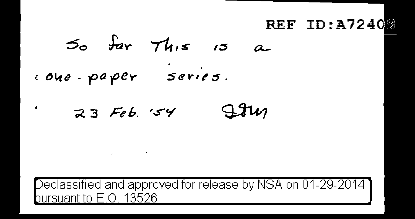# REF ID:A72400  $50$  far This  $15a$

coue-paper series.

graduate and sea

 $23$  Feb.  $54$  $\bigoplus$ 

Declassified and approved for release by NSA on 01-29-2014 rsuant to E.O. 13526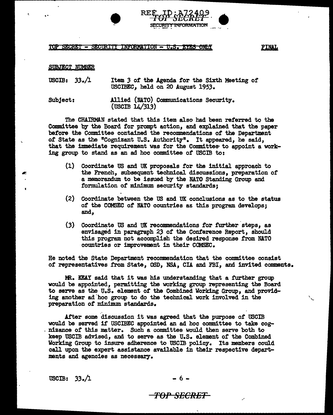

#### TOP SECRET - SECURITY INFORMATION - U.S. EYES ONLY

**FINAL** 

### SUBJECT NUMBER

#### USCIB:  $33.1$ Item 3 of the Agenda for the Sixth Meeting of USCIBEC, held on 20 August 1953. Allied (NATO) Communications Security. Subject:  $(USCHL/313)$

The CHAIRMAN stated that this item also had been referred to the Committee by the Board for prompt action, and explained that the paper before the Committee contained the recommendations of the Department of State as the "Cognizant U.S. Authority". It appeared, he said, that the immediate requirement was for the Committee to appoint a working group to stand as an ad hoc committee of USCIB to:

- (1) Coordinate US and UK proposals for the initial approach to the French, subsequent technical discussions, preparation of a memorandum to be issued by the NATO Standing Group and formulation of minimum security standards:
- (2) Coordinate between the US and UK conclusions as to the status of the COMSEC of NATO countries as this program develops: and,
- (3) Coordinate US and UK recommendations for further steps, as envisaged in paragraph 23 of the Conference Report, should this program not accomplish the desired response from NATO countries or improvement in their COMSEC.

He noted the State Department recommendation that the committee consist of representatives from State, OSD, NSA, CIA and FBI, and invited comments.

MR. KEAY said that it was his understanding that a further group would be appointed, permitting the working group representing the Board to serve as the U.S. element of the Combined Working Group, and providing another ad hoc group to do the technical work involved in the preparation of minimum standards.

After some discussion it was agreed that the purpose of USCIB would be served if USCIBEC appointed an ad hoc committee to take cog-. nizance of this matter. Such a committee would then serve both to keep USCIB advised, and to serve as the U.S. element of the Combined Working Group to insure adherence to USCIB policy. Its members could call upon the expert assistance available in their respective departments and agencies as necessary.

USCIB:  $33./1$ 

 $-6-$ 

# <del>TOP SECRET-</del>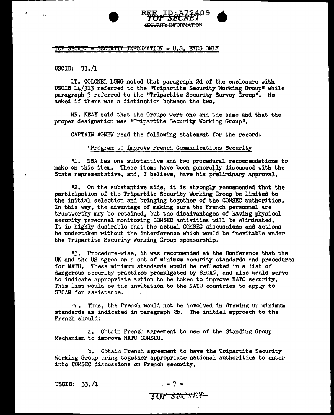



#### TOP SECRET - SECURITY INFORMATION - U.S. ETES ONLY

USCIB:  $33 \cdot /1$ 

LT. COLONEL LONG noted that paragraph 2d of the enclosure with USCIB 14/313 referred to the "Tripartite Security Working Group" while paragraph *3* referred to the "Tripartite Security Survey Group". He asked if there was a distinction between the two.

MR. KEAY said that the Groups were one and the same and that the proper designation was "Tripartite Security Working Group".

CAPTAIN AGNEW read the following statement for the record:

"Program to Improve French Communications Security

<sup>11</sup>1. NSA has one substantive and two procedural recommendations to make on this item. These items have been generally discussed with the State representative, and, I believe, have his preliminary approval.

"2. On the substantive side, it is strongly recommended that the participation of the Tripartite Security Working· Group be limited to the initial selection and bringing together of the COMSEC authorities. In this way, the advantage of making sure the French personnel are trustworthy may be retained, but the disadvantages of having physical security personnel monitoring COMSEC activities will be eliminated. It is highly desirable that the actual COMSEC discussions and actions be undertaken without the interference which would be inevitable under the Tripartite Security Working Group sponsorship.

11.3. Procedure-wise, it was recommended at the Conference that the UK and the US agree on a set of minimum security standards and procedures for NATO. These minimum standards would be reflected in a list of dangerous security practices promulgated by SECAN, and also would serve to indicate appropriate action to be taken to improve NATO security. This list would be the invitation to the NATO countries to apply to SECAN for assistance.

 $"''$ 4. Thus, the French would not be involved in drawing up minimum standards as indicated in paragraph 2b. The initial approach to the French should:

a. Obtain French agreement to use of the Standing Group Mechanism to improve NATO COMSEC.

b. Obtain French agreement to have the Tripartite Security Working Group bring together appropriate national authorities to enter into COMSEC discussions on French security.

USCIB:  $33./1$ 

$$
-7 -
$$
  
TOP SUCN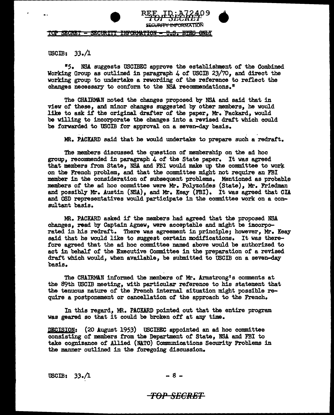



. .

**PEE ID:A72409**<br>FOR SECRET - SECURITY INFORMATION - U.S. BYES ONLY

## USCIB: 33./l

•5. NSA suggests USCIBEC approve the establishment *ot* the Combined Working Group as outlined in paragraph 4 of USCIB *23/70*1 and direct the working group to undertake a rewording of the reference to reflect the changes necessary to conform to the NSA recommendations."

I. *v 6.* iJ .L:l 'VI." *6.j* I. <del>URITY INFORMATION</del>

The CHAIRMAN noted the changes proposed by NSA and said that in view of these, and minor changes suggested by other members, he would like to ask if the original drafter of the paper, Mr. Packard, would be willing to incorporate the changes into a revised draf't which could be forwarded to USCIB for approval on a seven-day basis.

MR. PACKARD said that he would undertake to prepare such a redraft.

The members discussed the question of membership on the ad hoc group, recommended in paragraph 4 of the State paper. It was agreed that members from State, NSA and FBI would make up the committee to work on the French problem, and that the committee might not require an FBI member in the consideration or subsequent problems. Mentioned as probable members of the ad hoc committee were Mr. Polyzoides (State), Mr. Friedman and possibly Mr. Austin (NSA), and Mr. Keay (FBI). It was agreed that CIA and OSD representatives would participate in the committee work on a consultant basis.

:MR, PACKARD asked if the members had agreed that the proposed NSA changes, read by Captain Agnew, were acceptable and might be incorporated in his redraft. There was agreement in principle; however, Mr. Keay said that he would like to suggest certain modifications. It was therefore agreed that the ad hoc committee named above would be authorized to act in behalf of the Executive Committee in the preparation or a revised draft which would, when available, be submitted to USCIB on a seven-day basis.

The CHAIRMAN informed the members or Mr. Armstrong's comments at the 89th USCIB meeting, with particular reference to his statement that the tenuous nature or the French internal situation might possible require a postponement or cancellation of the approach to the French.

In this regard, MR. PACKARD pointed out that the entire program was geared so that it could be broken off at any time.

DECISION: (20 August 1953) USCIBEC appointed an ad hoc committee consisting of members from the Department of State, NSA and FBI to take cognizance or Allied (NATO) Communications Security Problems in the manner outlined in the foregoing discussion.

 $\text{USCIB:} \quad 33. / 1 \quad -8 -$ 

# *TO-P SECRET*